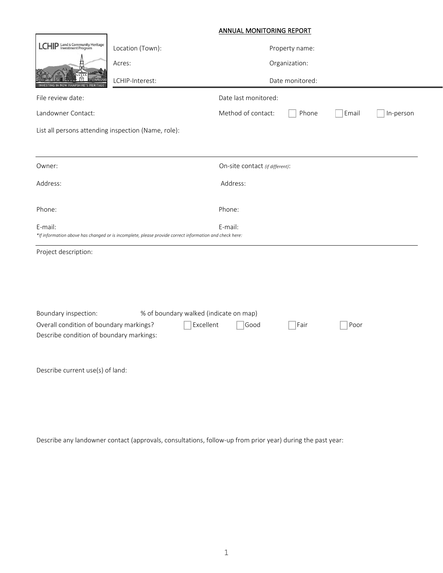|                                                                                                                          | <b>ANNUAL MONITORING REPORT</b> |                                 |                |       |           |  |
|--------------------------------------------------------------------------------------------------------------------------|---------------------------------|---------------------------------|----------------|-------|-----------|--|
| LCHIP Land & Community Heritage                                                                                          | Location (Town):                |                                 | Property name: |       |           |  |
|                                                                                                                          | Acres:                          |                                 | Organization:  |       |           |  |
|                                                                                                                          | LCHIP-Interest:                 | Date monitored:                 |                |       |           |  |
| File review date:                                                                                                        |                                 | Date last monitored:            |                |       |           |  |
| Landowner Contact:                                                                                                       |                                 | Method of contact:              | Phone          | Email | In-person |  |
| List all persons attending inspection (Name, role):                                                                      |                                 |                                 |                |       |           |  |
|                                                                                                                          |                                 |                                 |                |       |           |  |
| Owner:                                                                                                                   |                                 | On-site contact (if different): |                |       |           |  |
| Address:                                                                                                                 |                                 | Address:                        |                |       |           |  |
|                                                                                                                          |                                 |                                 |                |       |           |  |
| Phone:                                                                                                                   |                                 | Phone:                          |                |       |           |  |
| E-mail:<br>*If information above has changed or is incomplete, please provide correct information and check here:        |                                 | E-mail:                         |                |       |           |  |
| Project description:                                                                                                     |                                 |                                 |                |       |           |  |
|                                                                                                                          |                                 |                                 |                |       |           |  |
|                                                                                                                          |                                 |                                 |                |       |           |  |
|                                                                                                                          |                                 |                                 |                |       |           |  |
| % of boundary walked (indicate on map)<br>Boundary inspection:                                                           |                                 |                                 |                |       |           |  |
| Overall condition of boundary markings?<br>Excellent<br>Good<br>Fair<br>Poor<br>Describe condition of boundary markings: |                                 |                                 |                |       |           |  |
|                                                                                                                          |                                 |                                 |                |       |           |  |
|                                                                                                                          |                                 |                                 |                |       |           |  |
| Describe current use(s) of land:                                                                                         |                                 |                                 |                |       |           |  |
|                                                                                                                          |                                 |                                 |                |       |           |  |
|                                                                                                                          |                                 |                                 |                |       |           |  |

Describe any landowner contact (approvals, consultations, follow-up from prior year) during the past year: